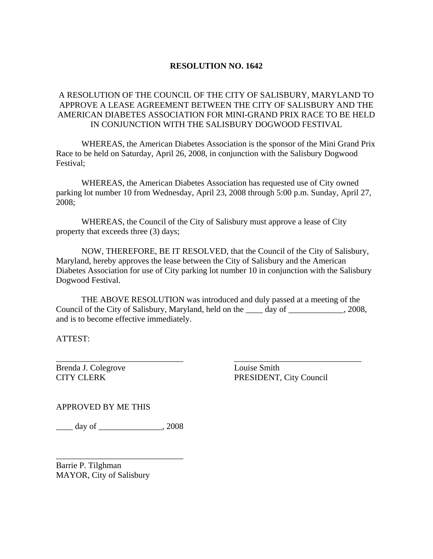## **RESOLUTION NO. 1642**

## A RESOLUTION OF THE COUNCIL OF THE CITY OF SALISBURY, MARYLAND TO APPROVE A LEASE AGREEMENT BETWEEN THE CITY OF SALISBURY AND THE AMERICAN DIABETES ASSOCIATION FOR MINI-GRAND PRIX RACE TO BE HELD IN CONJUNCTION WITH THE SALISBURY DOGWOOD FESTIVAL

 WHEREAS, the American Diabetes Association is the sponsor of the Mini Grand Prix Race to be held on Saturday, April 26, 2008, in conjunction with the Salisbury Dogwood Festival;

 WHEREAS, the American Diabetes Association has requested use of City owned parking lot number 10 from Wednesday, April 23, 2008 through 5:00 p.m. Sunday, April 27, 2008;

 WHEREAS, the Council of the City of Salisbury must approve a lease of City property that exceeds three (3) days;

 NOW, THEREFORE, BE IT RESOLVED, that the Council of the City of Salisbury, Maryland, hereby approves the lease between the City of Salisbury and the American Diabetes Association for use of City parking lot number 10 in conjunction with the Salisbury Dogwood Festival.

 THE ABOVE RESOLUTION was introduced and duly passed at a meeting of the Council of the City of Salisbury, Maryland, held on the \_\_\_\_ day of \_\_\_\_\_\_\_\_\_\_\_\_\_, 2008, and is to become effective immediately.

 $\overline{\phantom{a}}$  , and the contract of the contract of the contract of the contract of the contract of the contract of the contract of the contract of the contract of the contract of the contract of the contract of the contrac

ATTEST:

Brenda J. Colegrove Louise Smith

CITY CLERK PRESIDENT, City Council

APPROVED BY ME THIS

\_\_\_\_ day of \_\_\_\_\_\_\_\_\_\_\_\_\_\_\_, 2008

\_\_\_\_\_\_\_\_\_\_\_\_\_\_\_\_\_\_\_\_\_\_\_\_\_\_\_\_\_\_

Barrie P. Tilghman MAYOR, City of Salisbury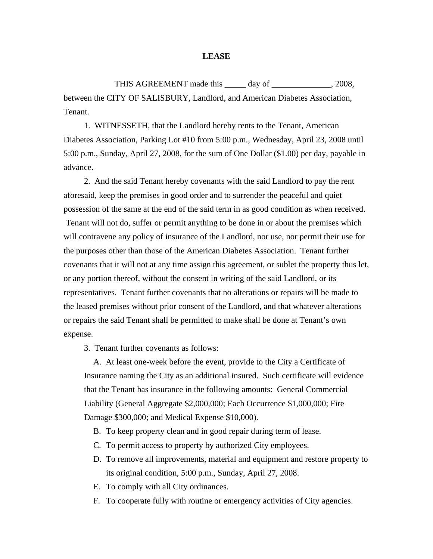## **LEASE**

THIS AGREEMENT made this \_\_\_\_\_ day of \_\_\_\_\_\_\_\_\_\_\_\_\_\_, 2008, between the CITY OF SALISBURY, Landlord, and American Diabetes Association, Tenant.

1. WITNESSETH, that the Landlord hereby rents to the Tenant, American Diabetes Association, Parking Lot #10 from 5:00 p.m., Wednesday, April 23, 2008 until 5:00 p.m., Sunday, April 27, 2008, for the sum of One Dollar (\$1.00) per day, payable in advance.

2. And the said Tenant hereby covenants with the said Landlord to pay the rent aforesaid, keep the premises in good order and to surrender the peaceful and quiet possession of the same at the end of the said term in as good condition as when received. Tenant will not do, suffer or permit anything to be done in or about the premises which will contravene any policy of insurance of the Landlord, nor use, nor permit their use for the purposes other than those of the American Diabetes Association. Tenant further covenants that it will not at any time assign this agreement, or sublet the property thus let, or any portion thereof, without the consent in writing of the said Landlord, or its representatives. Tenant further covenants that no alterations or repairs will be made to the leased premises without prior consent of the Landlord, and that whatever alterations or repairs the said Tenant shall be permitted to make shall be done at Tenant's own expense.

3. Tenant further covenants as follows:

 A. At least one-week before the event, provide to the City a Certificate of Insurance naming the City as an additional insured. Such certificate will evidence that the Tenant has insurance in the following amounts: General Commercial Liability (General Aggregate \$2,000,000; Each Occurrence \$1,000,000; Fire Damage \$300,000; and Medical Expense \$10,000).

- B. To keep property clean and in good repair during term of lease.
- C. To permit access to property by authorized City employees.
- D. To remove all improvements, material and equipment and restore property to its original condition, 5:00 p.m., Sunday, April 27, 2008.
- E. To comply with all City ordinances.
- F. To cooperate fully with routine or emergency activities of City agencies.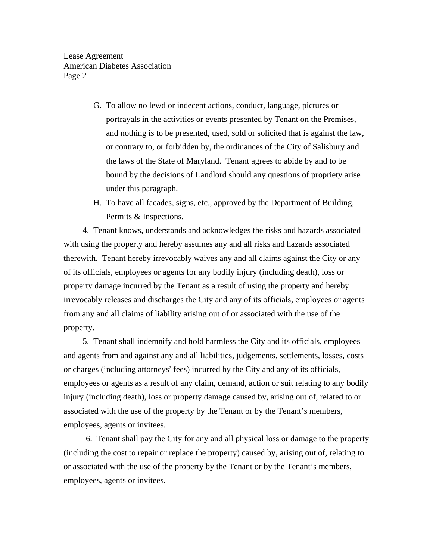Lease Agreement American Diabetes Association Page 2

- G. To allow no lewd or indecent actions, conduct, language, pictures or portrayals in the activities or events presented by Tenant on the Premises, and nothing is to be presented, used, sold or solicited that is against the law, or contrary to, or forbidden by, the ordinances of the City of Salisbury and the laws of the State of Maryland. Tenant agrees to abide by and to be bound by the decisions of Landlord should any questions of propriety arise under this paragraph.
- H. To have all facades, signs, etc., approved by the Department of Building, Permits & Inspections.

 4. Tenant knows, understands and acknowledges the risks and hazards associated with using the property and hereby assumes any and all risks and hazards associated therewith. Tenant hereby irrevocably waives any and all claims against the City or any of its officials, employees or agents for any bodily injury (including death), loss or property damage incurred by the Tenant as a result of using the property and hereby irrevocably releases and discharges the City and any of its officials, employees or agents from any and all claims of liability arising out of or associated with the use of the property.

 5. Tenant shall indemnify and hold harmless the City and its officials, employees and agents from and against any and all liabilities, judgements, settlements, losses, costs or charges (including attorneys' fees) incurred by the City and any of its officials, employees or agents as a result of any claim, demand, action or suit relating to any bodily injury (including death), loss or property damage caused by, arising out of, related to or associated with the use of the property by the Tenant or by the Tenant's members, employees, agents or invitees.

 6. Tenant shall pay the City for any and all physical loss or damage to the property (including the cost to repair or replace the property) caused by, arising out of, relating to or associated with the use of the property by the Tenant or by the Tenant's members, employees, agents or invitees.